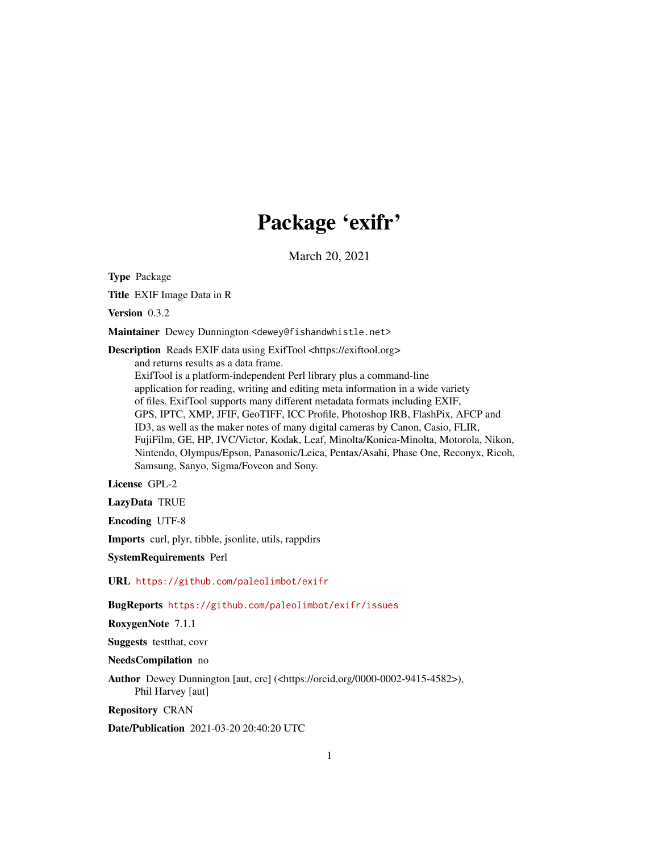## Package 'exifr'

March 20, 2021

<span id="page-0-0"></span>Type Package

Title EXIF Image Data in R

Version 0.3.2

Maintainer Dewey Dunnington <dewey@fishandwhistle.net>

Description Reads EXIF data using ExifTool <https://exiftool.org> and returns results as a data frame. ExifTool is a platform-independent Perl library plus a command-line application for reading, writing and editing meta information in a wide variety of files. ExifTool supports many different metadata formats including EXIF, GPS, IPTC, XMP, JFIF, GeoTIFF, ICC Profile, Photoshop IRB, FlashPix, AFCP and ID3, as well as the maker notes of many digital cameras by Canon, Casio, FLIR, FujiFilm, GE, HP, JVC/Victor, Kodak, Leaf, Minolta/Konica-Minolta, Motorola, Nikon, Nintendo, Olympus/Epson, Panasonic/Leica, Pentax/Asahi, Phase One, Reconyx, Ricoh, Samsung, Sanyo, Sigma/Foveon and Sony.

License GPL-2

LazyData TRUE

Encoding UTF-8

Imports curl, plyr, tibble, jsonlite, utils, rappdirs

SystemRequirements Perl

URL <https://github.com/paleolimbot/exifr>

BugReports <https://github.com/paleolimbot/exifr/issues>

RoxygenNote 7.1.1

Suggests testthat, covr

NeedsCompilation no

Author Dewey Dunnington [aut, cre] (<https://orcid.org/0000-0002-9415-4582>), Phil Harvey [aut]

Repository CRAN

Date/Publication 2021-03-20 20:40:20 UTC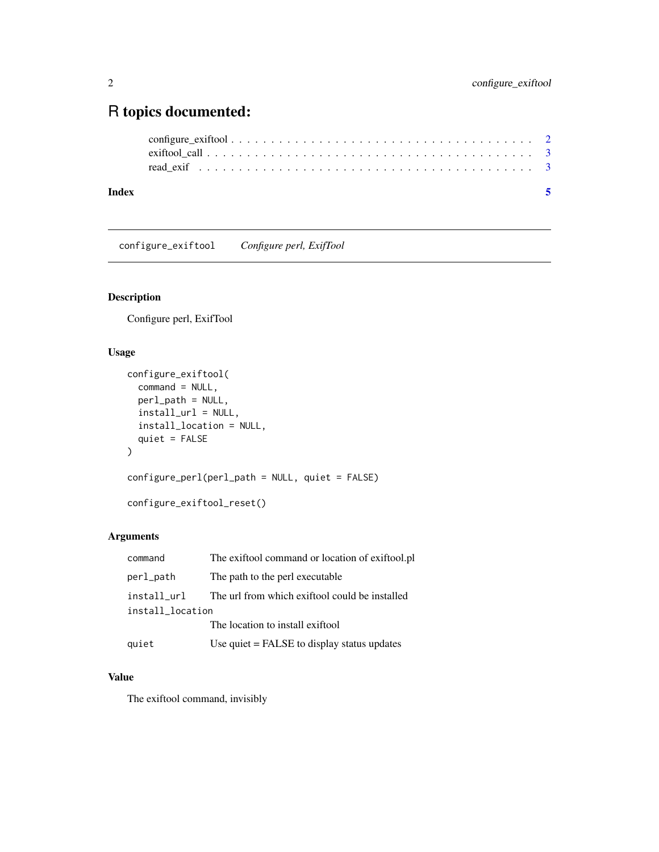### <span id="page-1-0"></span>R topics documented:

| Index |  |
|-------|--|
|       |  |
|       |  |
|       |  |

configure\_exiftool *Configure perl, ExifTool*

#### Description

Configure perl, ExifTool

#### Usage

```
configure_exiftool(
  command = NULL,
  perl_path = NULL,
  install_url = NULL,
  install_location = NULL,
  quiet = FALSE
\mathcal{L}configure_perl(perl_path = NULL, quiet = FALSE)
configure_exiftool_reset()
```
#### Arguments

| command          | The exiftool command or location of exiftool.pl |
|------------------|-------------------------------------------------|
| perl_path        | The path to the perl executable                 |
| install_url      | The url from which exiftool could be installed  |
| install_location |                                                 |
|                  | The location to install exiftool                |
| quiet            | Use $quiet = FALSE$ to display status updates   |

#### Value

The exiftool command, invisibly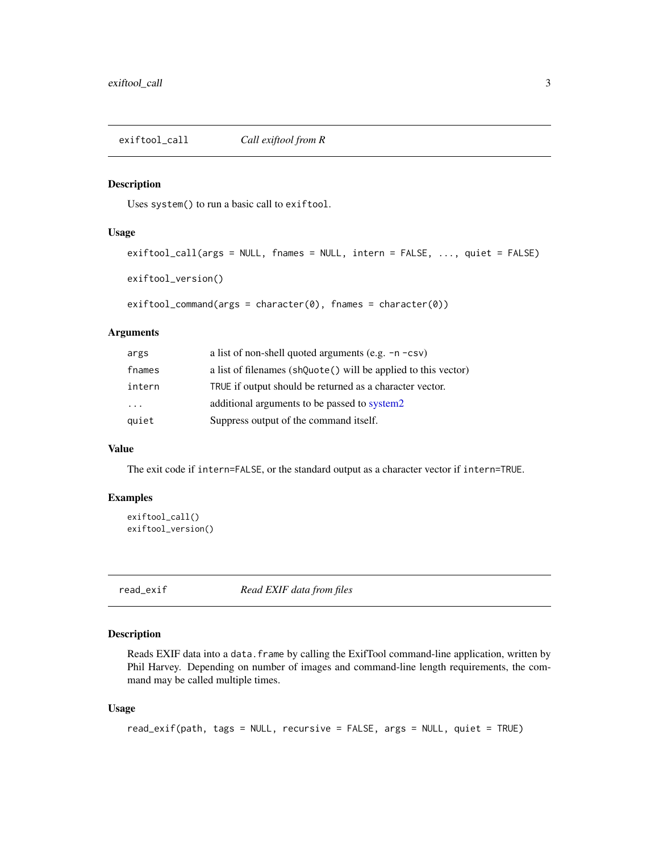#### <span id="page-2-0"></span>Description

Uses system() to run a basic call to exiftool.

#### Usage

```
exiftool_call(args = NULL, fnames = NULL, intern = FALSE, ..., quiet = FALSE)
```
exiftool\_version()

```
exiftool_command(args = character(0), fnames = character(0))
```
#### Arguments

| args                    | a list of non-shell quoted arguments (e.g. $-n$ -csv)          |
|-------------------------|----------------------------------------------------------------|
| fnames                  | a list of filenames (shQuote() will be applied to this vector) |
| intern                  | TRUE if output should be returned as a character vector.       |
| $\cdot$ $\cdot$ $\cdot$ | additional arguments to be passed to system2                   |
| quiet                   | Suppress output of the command itself.                         |

#### Value

The exit code if intern=FALSE, or the standard output as a character vector if intern=TRUE.

#### Examples

```
exiftool_call()
exiftool_version()
```
read\_exif *Read EXIF data from files*

#### Description

Reads EXIF data into a data. frame by calling the ExifTool command-line application, written by Phil Harvey. Depending on number of images and command-line length requirements, the command may be called multiple times.

#### Usage

```
read_exif(path, tags = NULL, recursive = FALSE, args = NULL, quiet = TRUE)
```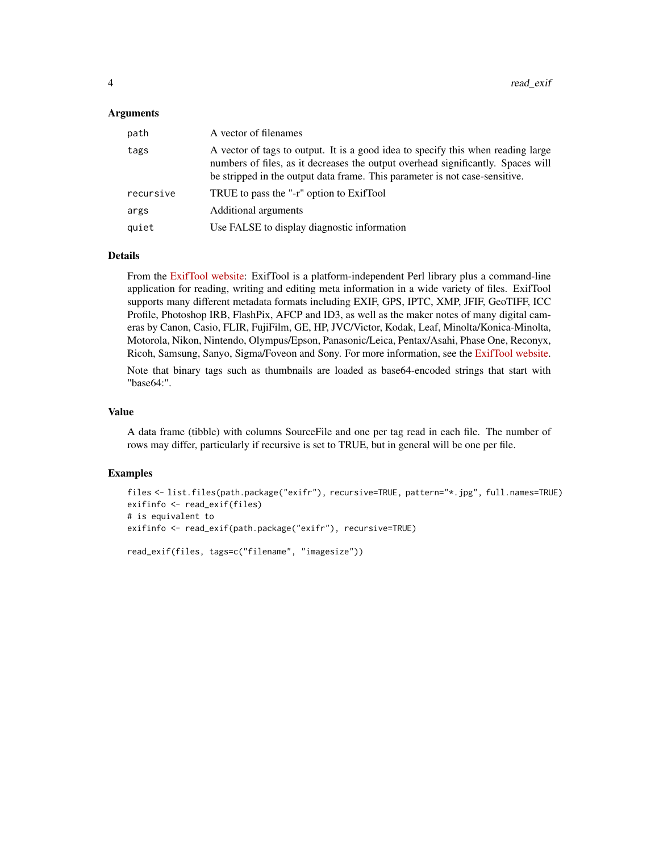#### Arguments

| path      | A vector of filenames                                                                                                                                                                                                                               |
|-----------|-----------------------------------------------------------------------------------------------------------------------------------------------------------------------------------------------------------------------------------------------------|
| tags      | A vector of tags to output. It is a good idea to specify this when reading large<br>numbers of files, as it decreases the output overhead significantly. Spaces will<br>be stripped in the output data frame. This parameter is not case-sensitive. |
| recursive | TRUE to pass the "-r" option to ExifTool                                                                                                                                                                                                            |
| args      | Additional arguments                                                                                                                                                                                                                                |
| quiet     | Use FALSE to display diagnostic information                                                                                                                                                                                                         |

#### Details

From the [ExifTool website:](https://exiftool.org) ExifTool is a platform-independent Perl library plus a command-line application for reading, writing and editing meta information in a wide variety of files. ExifTool supports many different metadata formats including EXIF, GPS, IPTC, XMP, JFIF, GeoTIFF, ICC Profile, Photoshop IRB, FlashPix, AFCP and ID3, as well as the maker notes of many digital cameras by Canon, Casio, FLIR, FujiFilm, GE, HP, JVC/Victor, Kodak, Leaf, Minolta/Konica-Minolta, Motorola, Nikon, Nintendo, Olympus/Epson, Panasonic/Leica, Pentax/Asahi, Phase One, Reconyx, Ricoh, Samsung, Sanyo, Sigma/Foveon and Sony. For more information, see the [ExifTool website.](https://exiftool.org)

Note that binary tags such as thumbnails are loaded as base64-encoded strings that start with "base64:".

#### Value

A data frame (tibble) with columns SourceFile and one per tag read in each file. The number of rows may differ, particularly if recursive is set to TRUE, but in general will be one per file.

#### Examples

```
files <- list.files(path.package("exifr"), recursive=TRUE, pattern="*.jpg", full.names=TRUE)
exifinfo <- read_exif(files)
# is equivalent to
exifinfo <- read_exif(path.package("exifr"), recursive=TRUE)
read_exif(files, tags=c("filename", "imagesize"))
```